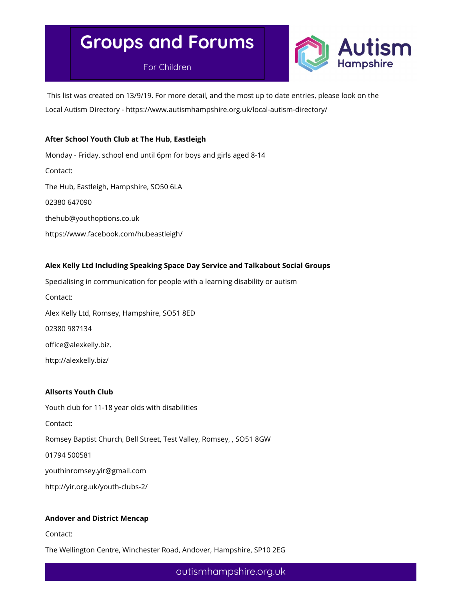For Children



 This list was created on 13/9/19. For more detail, and the most up to date entries, please look on the Local Autism Directory - https://www.autismhampshire.org.uk/local-autism-directory/

#### After School Youth Club at The Hub, Eastleigh

Monday - Friday, school end until 6pm for boys and girls aged 8-14 Contact: The Hub, Eastleigh, Hampshire, SO50 6LA 02380 647090 thehub@youthoptions.co.uk https://www.facebook.com/hubeastleigh/

#### Alex Kelly Ltd Including Speaking Space Day Service and Talkabout Social Groups

Specialising in communication for people with a learning disability or autism Contact: Alex Kelly Ltd, Romsey, Hampshire, SO51 8ED 02380 987134 office@alexkelly.biz. http://alexkelly.biz/

#### Allsorts Youth Club

Youth club for 11-18 year olds with disabilities Contact: Romsey Baptist Church, Bell Street, Test Valley, Romsey, , SO51 8GW 01794 500581 youthinromsey.yir@gmail.com http://yir.org.uk/youth-clubs-2/

#### Andover and District Mencap

Contact:

The Wellington Centre, Winchester Road, Andover, Hampshire, SP10 2EG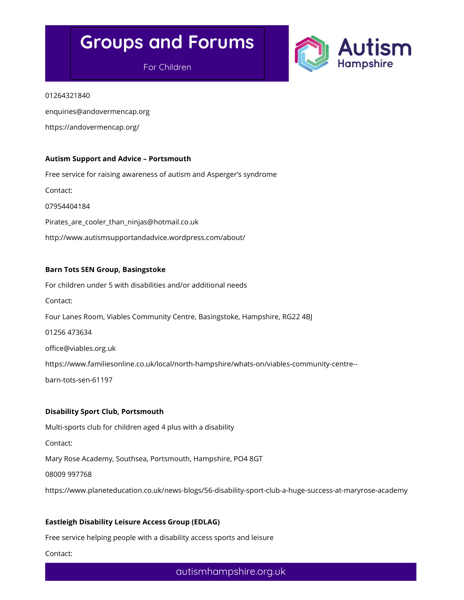For Children



#### 01264321840

enquiries@andovermencap.org

https://andovermencap.org/

#### Autism Support and Advice – Portsmouth

Free service for raising awareness of autism and Asperger's syndrome Contact: 07954404184 Pirates are cooler than ninjas@hotmail.co.uk http://www.autismsupportandadvice.wordpress.com/about/

#### Barn Tots SEN Group, Basingstoke

For children under 5 with disabilities and/or additional needs Contact: Four Lanes Room, Viables Community Centre, Basingstoke, Hampshire, RG22 4BJ 01256 473634 office@viables.org.uk https://www.familiesonline.co.uk/local/north-hampshire/whats-on/viables-community-centre- barn-tots-sen-61197

#### Disability Sport Club, Portsmouth

Multi-sports club for children aged 4 plus with a disability Contact: Mary Rose Academy, Southsea, Portsmouth, Hampshire, PO4 8GT 08009 997768 https://www.planeteducation.co.uk/news-blogs/56-disability-sport-club-a-huge-success-at-maryrose-academy

#### Eastleigh Disability Leisure Access Group (EDLAG)

Free service helping people with a disability access sports and leisure

Contact: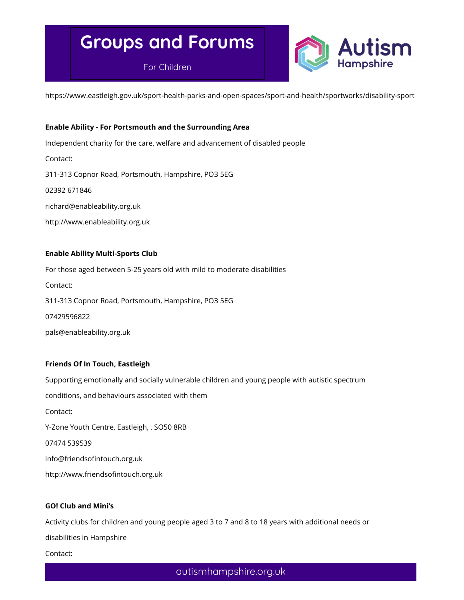For Children



https://www.eastleigh.gov.uk/sport-health-parks-and-open-spaces/sport-and-health/sportworks/disability-sport

#### Enable Ability - For Portsmouth and the Surrounding Area

Independent charity for the care, welfare and advancement of disabled people

Contact:

311-313 Copnor Road, Portsmouth, Hampshire, PO3 5EG

02392 671846

richard@enableability.org.uk

http://www.enableability.org.uk

#### Enable Ability Multi-Sports Club

For those aged between 5-25 years old with mild to moderate disabilities Contact: 311-313 Copnor Road, Portsmouth, Hampshire, PO3 5EG 07429596822 pals@enableability.org.uk

#### Friends Of In Touch, Eastleigh

Supporting emotionally and socially vulnerable children and young people with autistic spectrum conditions, and behaviours associated with them Contact: Y-Zone Youth Centre, Eastleigh, , SO50 8RB 07474 539539 info@friendsofintouch.org.uk http://www.friendsofintouch.org.uk

#### GO! Club and Mini's

Activity clubs for children and young people aged 3 to 7 and 8 to 18 years with additional needs or

disabilities in Hampshire

Contact: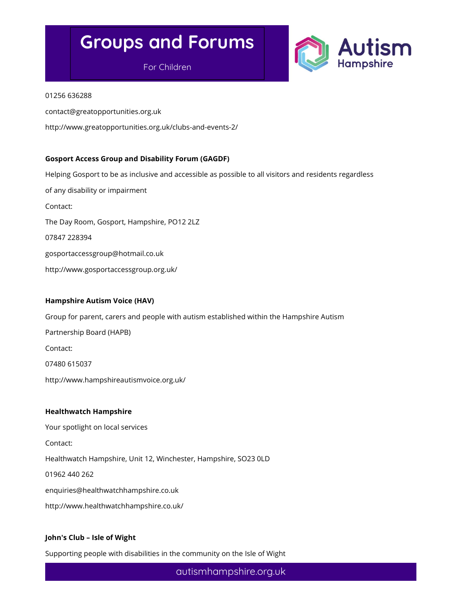For Children



#### 01256 636288

contact@greatopportunities.org.uk

http://www.greatopportunities.org.uk/clubs-and-events-2/

#### Gosport Access Group and Disability Forum (GAGDF)

Helping Gosport to be as inclusive and accessible as possible to all visitors and residents regardless of any disability or impairment Contact: The Day Room, Gosport, Hampshire, PO12 2LZ 07847 228394 gosportaccessgroup@hotmail.co.uk http://www.gosportaccessgroup.org.uk/

#### Hampshire Autism Voice (HAV)

Group for parent, carers and people with autism established within the Hampshire Autism Partnership Board (HAPB)

Contact:

07480 615037

http://www.hampshireautismvoice.org.uk/

#### Healthwatch Hampshire

Your spotlight on local services Contact: Healthwatch Hampshire, Unit 12, Winchester, Hampshire, SO23 0LD 01962 440 262 enquiries@healthwatchhampshire.co.uk http://www.healthwatchhampshire.co.uk/

#### John's Club – Isle of Wight

Supporting people with disabilities in the community on the Isle of Wight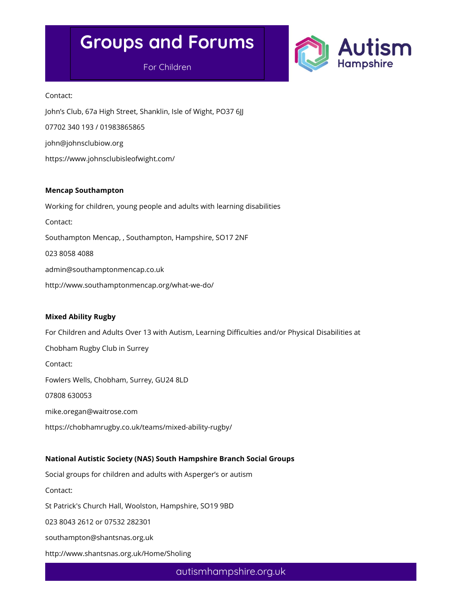### For Children



Contact: John's Club, 67a High Street, Shanklin, Isle of Wight, PO37 6JJ 07702 340 193 / 01983865865 john@johnsclubiow.org https://www.johnsclubisleofwight.com/

#### Mencap Southampton

Working for children, young people and adults with learning disabilities Contact: Southampton Mencap, , Southampton, Hampshire, SO17 2NF 023 8058 4088 admin@southamptonmencap.co.uk

http://www.southamptonmencap.org/what-we-do/

#### Mixed Ability Rugby

For Children and Adults Over 13 with Autism, Learning Difficulties and/or Physical Disabilities at Chobham Rugby Club in Surrey Contact: Fowlers Wells, Chobham, Surrey, GU24 8LD 07808 630053 mike.oregan@waitrose.com https://chobhamrugby.co.uk/teams/mixed-ability-rugby/

#### National Autistic Society (NAS) South Hampshire Branch Social Groups

Social groups for children and adults with Asperger's or autism Contact: St Patrick's Church Hall, Woolston, Hampshire, SO19 9BD 023 8043 2612 or 07532 282301 southampton@shantsnas.org.uk http://www.shantsnas.org.uk/Home/Sholing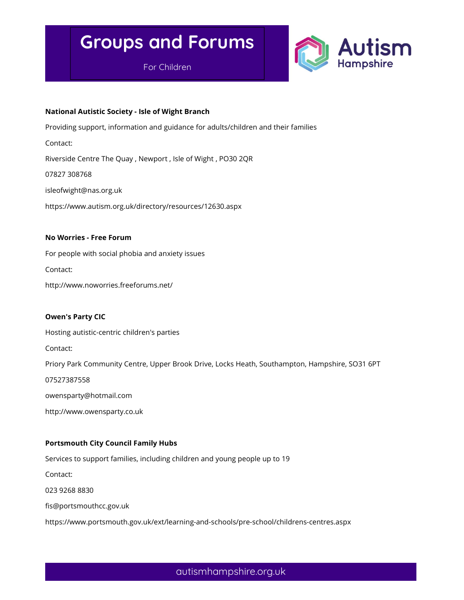For Children



#### National Autistic Society - Isle of Wight Branch

Providing support, information and guidance for adults/children and their families

Contact:

Riverside Centre The Quay , Newport , Isle of Wight , PO30 2QR

07827 308768

isleofwight@nas.org.uk

https://www.autism.org.uk/directory/resources/12630.aspx

#### No Worries - Free Forum

For people with social phobia and anxiety issues Contact: http://www.noworries.freeforums.net/

Owen's Party CIC Hosting autistic-centric children's parties Contact: Priory Park Community Centre, Upper Brook Drive, Locks Heath, Southampton, Hampshire, SO31 6PT 07527387558 owensparty@hotmail.com

http://www.owensparty.co.uk

#### Portsmouth City Council Family Hubs

Services to support families, including children and young people up to 19

Contact:

023 9268 8830

fis@portsmouthcc.gov.uk

https://www.portsmouth.gov.uk/ext/learning-and-schools/pre-school/childrens-centres.aspx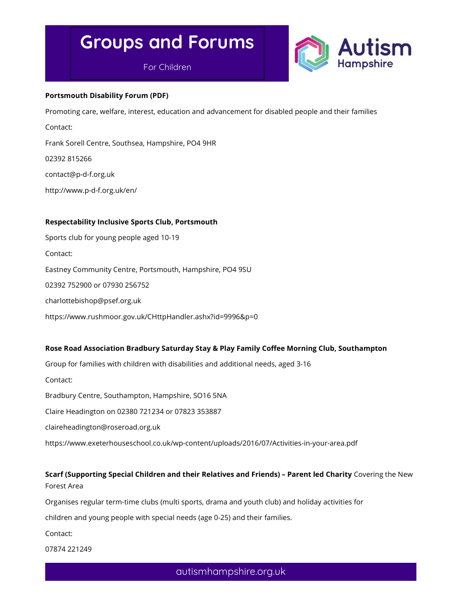For Children



#### Portsmouth Disability Forum (PDF)

Promoting care, welfare, interest, education and advancement for disabled people and their families

Contact:

Frank Sorell Centre, Southsea, Hampshire, PO4 9HR

02392 815266

contact@p-d-f.org.uk

http://www.p-d-f.org.uk/en/

#### Respectability Inclusive Sports Club, Portsmouth

Sports club for young people aged 10-19 Contact: Eastney Community Centre, Portsmouth, Hampshire, PO4 9SU 02392 752900 or 07930 256752 charlottebishop@psef.org.uk https://www.rushmoor.gov.uk/CHttpHandler.ashx?id=9996&p=0

#### Rose Road Association Bradbury Saturday Stay & Play Family Coffee Morning Club, Southampton

Group for families with children with disabilities and additional needs, aged 3-16

Contact:

Bradbury Centre, Southampton, Hampshire, SO16 5NA

Claire Headington on 02380 721234 or 07823 353887

claireheadington@roseroad.org.uk

https://www.exeterhouseschool.co.uk/wp-content/uploads/2016/07/Activities-in-your-area.pdf

### Scarf (Supporting Special Children and their Relatives and Friends) – Parent led Charity Covering the New Forest Area

Organises regular term-time clubs (multi sports, drama and youth club) and holiday activities for

children and young people with special needs (age 0-25) and their families.

Contact:

07874 221249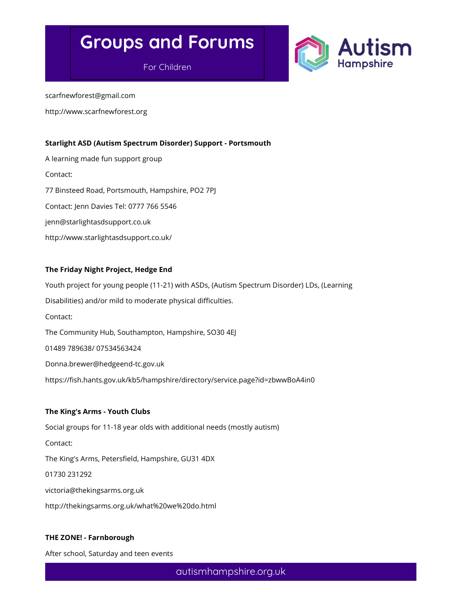For Children



scarfnewforest@gmail.com

http://www.scarfnewforest.org

#### Starlight ASD (Autism Spectrum Disorder) Support - Portsmouth

A learning made fun support group Contact: 77 Binsteed Road, Portsmouth, Hampshire, PO2 7PJ Contact: Jenn Davies Tel: 0777 766 5546 jenn@starlightasdsupport.co.uk http://www.starlightasdsupport.co.uk/

#### The Friday Night Project, Hedge End

Youth project for young people (11-21) with ASDs, (Autism Spectrum Disorder) LDs, (Learning Disabilities) and/or mild to moderate physical difficulties. Contact: The Community Hub, Southampton, Hampshire, SO30 4EJ 01489 789638/ 07534563424 Donna.brewer@hedgeend-tc.gov.uk https://fish.hants.gov.uk/kb5/hampshire/directory/service.page?id=zbwwBoA4in0

#### The King's Arms - Youth Clubs

Social groups for 11-18 year olds with additional needs (mostly autism) Contact: The King's Arms, Petersfield, Hampshire, GU31 4DX 01730 231292 victoria@thekingsarms.org.uk http://thekingsarms.org.uk/what%20we%20do.html

#### THE ZONE! - Farnborough

After school, Saturday and teen events